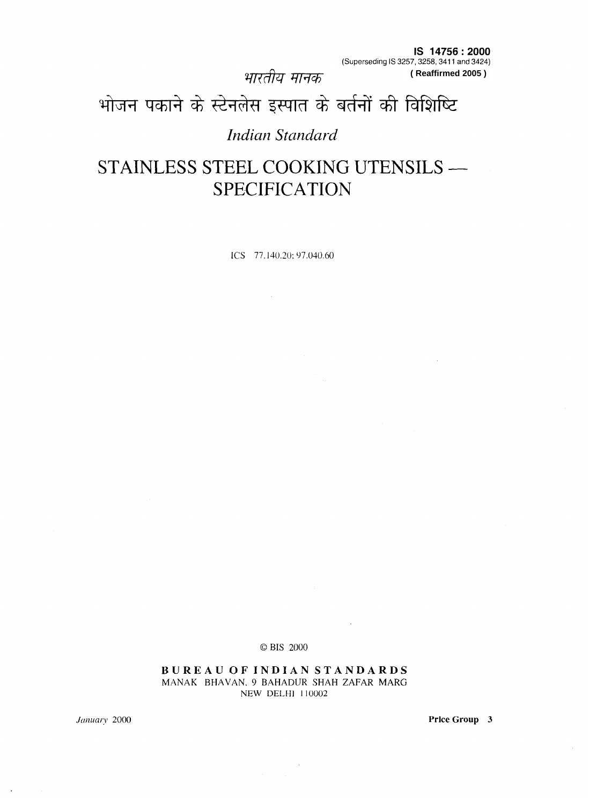भारतीय मानक

**IS 14756:2000**  (Superseding IS 3257,3258,3411 and 3424) **( Reaffirmed 2005 )**

# भोजन पकाने के स्टेनलेस इस्पात के बर्तनों की विशिष्टि

### *Indian Standard*

# STAINLESS STEEL COOKING UTENSILS -SPECIFICATION

ICS 77.140.20: 97.040.60

OBIS 2000

**BUREAU OF INDIAN STANDARDS**  MANAK BHAVAN,9 BAHADUR SHAH ZAFAR MARG NEW DELHl 110002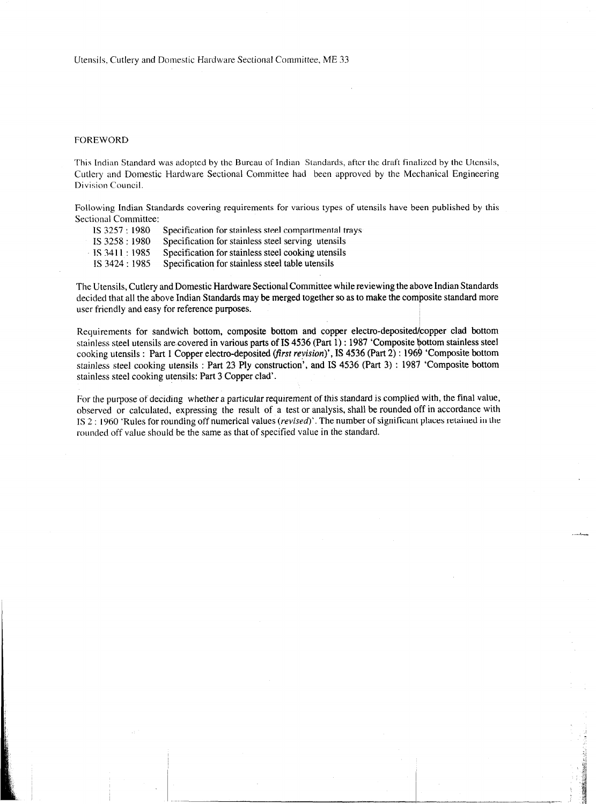#### FOREWORD

This Indian Standard was adopted by the Bureau of Indian Standards, after the draft finalized by the Utensils, Cutlery and Domestic Hardware Sectional Committee had been approved by the Mechanical Engineering Division Council.

Following Indian Standards covering requirements for various types of utensils have been published by this Sectional Committee:

| IS 3257:1980   | Specification for stainless steel compartmental trays |
|----------------|-------------------------------------------------------|
| IS 3258 : 1980 | Specification for stainless steel serving utensils    |
| IS 3411 : 1985 | Specification for stainless steel cooking utensils    |
| IS 3424 : 1985 | Specification for stainless steel table utensils      |
|                |                                                       |

The Utensils, Cutlery and Domestic Hardware Sectional Committee while reviewing the above Indian Standards decided that all the above Indian Standards may be merged together so as to make the composite standard more user friendly and easy for reference purposes.

Requirements for sandwich bottom, composite bottom and copper electro-deposited/copper clad bottom stainless steel utensils are covered in various parts of IS 4536 (Part 1) : 1987 'Composite bottom stainless steel cooking utensils : Part 1 Copper electro-deposited *(first revision)*', IS 4536 (Part 2) : 1969 'Composite bottom stainless steel cooking utensils : Part 23 Ply construction', and IS 4536 (Part 3) : 1987 'Composite bottom stainless steel cooking utensils: Part 3 Copper clad'.

For the purpose of deciding whether a particular requirement of this standard is complied with, the final value, observed or calculated, expressing the result of a test or analysis, shall be rounded off in accordance with IS 2 : I960 'Rules for rounding off numerical values *(revised)'.* The number of significant places retained in the rounded off value should be the same as that of specified value in the standard.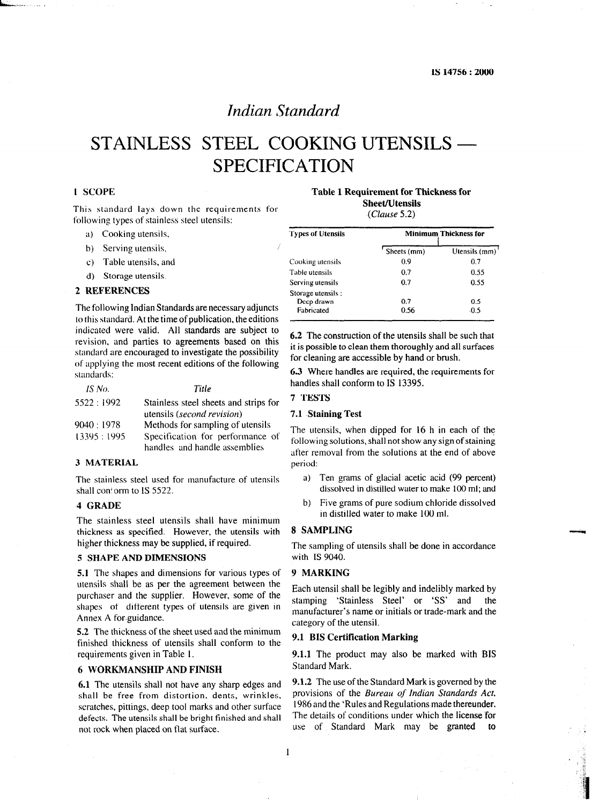### *Indian Standard*

## STAINLESS STEEL COOKING UTENSILS – SPECIFICATION

#### 1 SCOPE

This standard lays down the requirements for following types of stainless steel utensils:

- a) Cooking utensils,
- b) Serving utensils,
- c) Table utensils, and
- d) Storage utensils.

#### 2 **REFERENCES**

The following Indian Standards are necessary adjuncts to this standard. At the time of publication, the editions indicated were valid. All standards are subject to revision, and parties to agreements based on this standard are encouraged to investigate the possibility of applying the most recent editions of the following standards:

| IS No.       | Title                                 |
|--------------|---------------------------------------|
| 5522:1992    | Stainless steel sheets and strips for |
|              | utensils (second revision)            |
| 9040:1978    | Methods for sampling of utensils      |
| 13395 : 1995 | Specification for performance of      |
|              | handles and handle assemblies         |

#### 3 **MATERIAL**

The stainless steel used for manufacture of utensils shall con! orm to IS 5522.

#### 4 **GRADE**

The stainless steel utensils shall have minimum thickness as specified. However, the utensils with higher thickness may be supplied, if required.

#### 5 **SHAPE AND DIMENSIONS**

**5.1** The shapes and dimensions for various types of utensils shall be as per the agreement between the purchaser and the supplier. However, some of the shapes of different types of utensils are given in Annex A for guidance.

5.2 The thickness of the sheet used and the minimum finished thickness of utensils shall conform to the requirements given in Table I.

#### 6 **WORKMANSHIP AND FINISH**

shall be free from distortion. dents, wrinkles, provisions of the *Bureau of Indian Standards Act,*  scratches, pittings, deep tool marks and other surface <sup>1986</sup> and the 'Rules and Regulations made thereunder.<br>defects. The utensils shall be bright finished and shall. The details of conditions under which the license for defects. The utensils shall be bright finished and shall not rock when placed on flat surface. use of Standard Mark may be granted

**Table 1 Requirement for Thicknessfor Sheet/Utensils** 

**(Clause 5.2)** 

| <b>Types of Utensils</b> | <b>Minimum Thickness for</b> |               |  |
|--------------------------|------------------------------|---------------|--|
|                          | Sheets (mm)                  | Utensils (mm) |  |
| Cooking utensils         | 0.9                          | 0.7           |  |
| Table utensils           | 0.7                          | 0.55          |  |
| Serving utensils         | 0.7                          | 0.55          |  |
| Storage utensils :       |                              |               |  |
| Deep drawn               | 0.7                          | 0.5           |  |
| Fabricated               | 0.56                         | $-0.5$        |  |

**6.2** The construction of the utensils shall be such that it is possible to clean them thoroughly and all surfaces for cleaning are accessible by hand or brush.

6.3 Where handles are required, the requirements for handles shall conform to IS 13395.

#### 7 **TESTS**

#### **7.1 Staining Test**

The utensils, when dipped for 16 h in each of the following solutions, shall not show any sign of staining after removal from the solutions at the end of above period:

- a) Ten grams of glacial acetic acid (99 percent) dissolved in distilled water to make 100 ml; and
- b) Five grams of pure sodium chloride dissolved in distilled water to make 100 ml.

#### 8 **SAMPLING**

The sampling of utensils shall be done in accordance with IS 9040.

#### 9 **MARKING**

Each utensil shall be legibly and indelibly marked by stamping 'Stainless Steel' or 'SS' and the manufacturer's name or initials or trade-mark and the category of the utensil.

#### 9.1 **BIS Certification Marking**

**9.1.1** The product may also be marked with BIS Standard Mark.

**6.1** The utensils shall not have any sharp edges and **9.1.2** The use of the Standard Mark is governed by the shall be free from distortion dents wrinkles provisions of the *Bureau of Indian Standards Act*,

I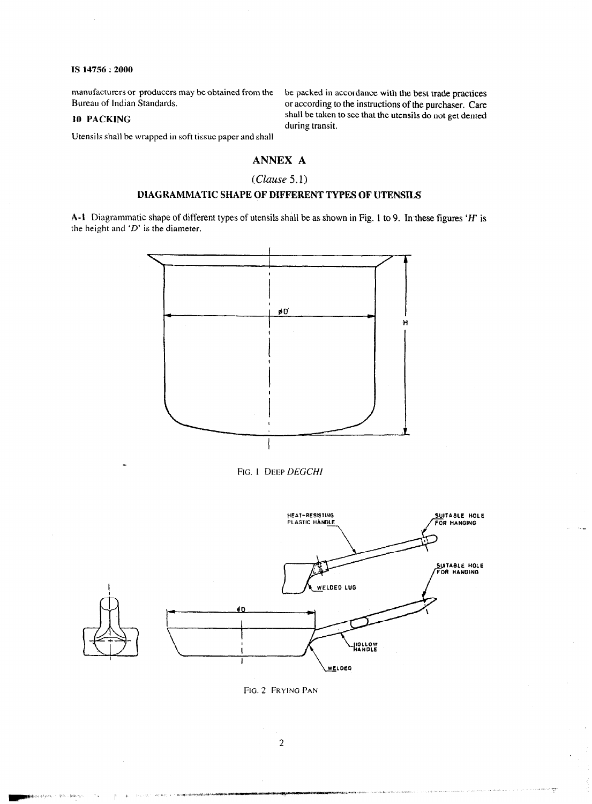manufacturers or producers may be obtained from the be packed in accordance with the best trade practices<br>Bureau of Indian Standards. or according to the instructions of the purchaser. Care

or according to the instructions of the purchaser. Care IO PACKING shall be taken to see that the utensils do not get dented during transit.

Utensils shall be wrapped in soft tissue paper and shall

### ANNEX A

#### $(Clause 5.1)$

### DIAGRAMMATIC SHAPE OF DIFFERENT TYPES OF UTENSILS

A-1 Diagrammatic shape of different types of utensils shall be as shown in Fig. 1 to 9. In these figures 'H' is the height and *'D'* is the diameter.







FIG. 2 FRYING PAN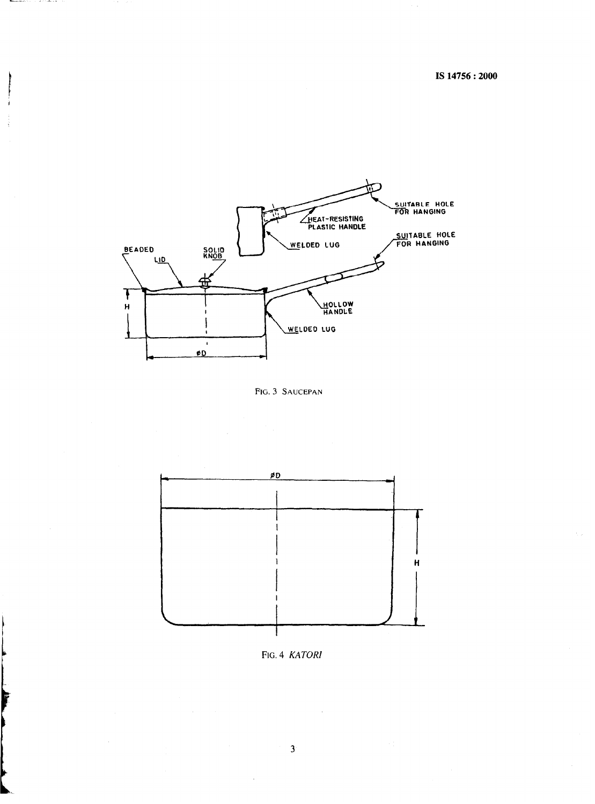

#### FIG. 3 SAUCEPAN



FIG. 4 KATORI

 $\ddot{\phantom{0}}$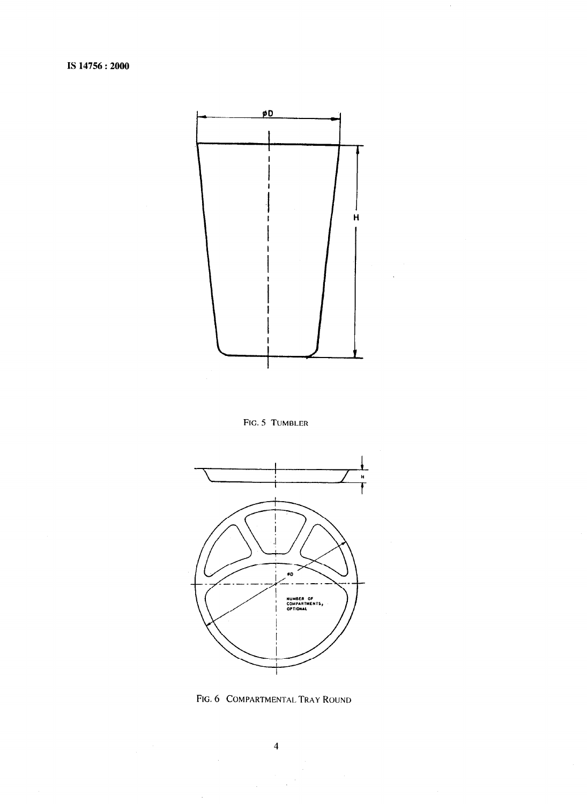

**FIG. 5 TUMBLER** 



**FIG. 6 COMPARTMENTAL TRAY ROUND**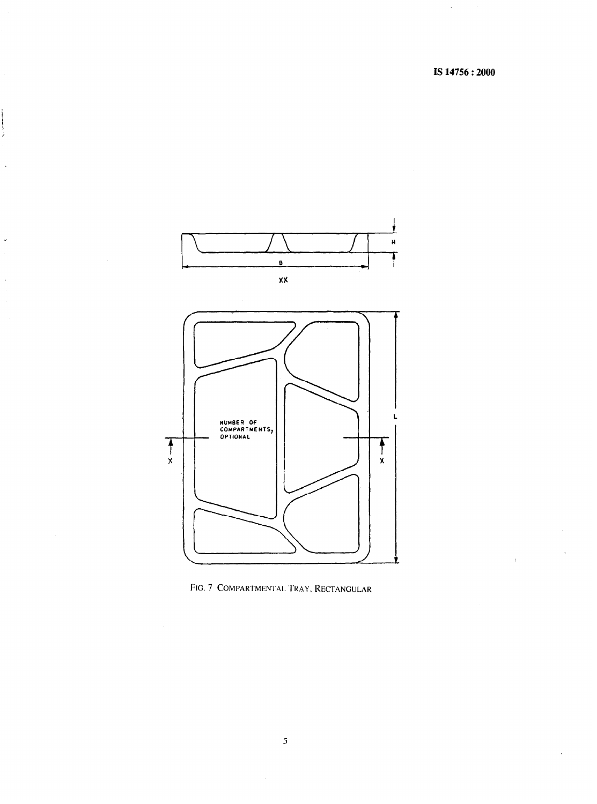ï



**FIG. 7 COMPARTMENTAL TKAY, RECTANGULAR**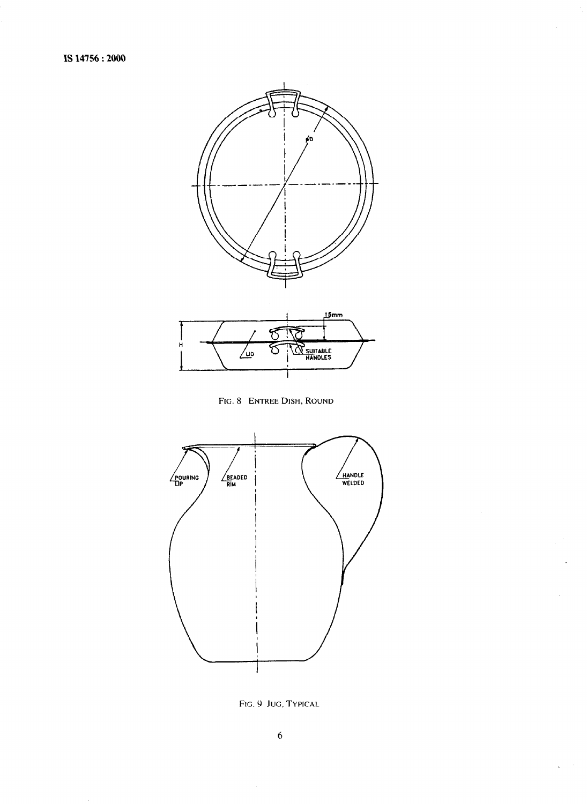





FIG. 9 JUG, TYPICAL